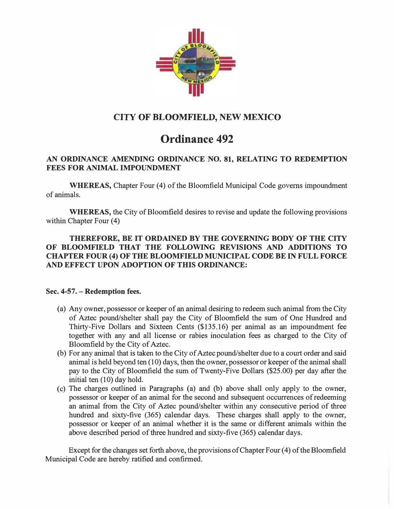

# CITY OF BLOOMFIELD, NEW MEXICO

# Ordinance 492

## AN ORDINANCE AMENDING ORDINANCE NO. 81, RELATING TO REDEMPTION FEES FOR ANIMAL IMPOUNDMENT

WHEREAS, Chapter Four (4) of the Bloomfield Municipal Code governs impoundment of animals.

WHEREAS, the City of Bloomfield desires to revise and update the following provisions within Chapter Four (4)

### THEREFORE, BE IT ORDAINED BY THE GOVERNING BODY OF THE CITY OF BLOOMFIELD THAT THE FOLLOWING REVISIONS AND ADDITIONS TO CHAPTER FOUR (4) OF THE BLOOMFIELD MUNICIPAL CODE BE IN FULL FORCE AND EFFECT UPON ADOPTION OF THIS ORDINANCE:

### Sec. 4-57. - Redemption fees.

- (a) Any owner, possessor or keeper of an animal desiring to redeem such animal from the City of Aztec pound/shelter shall pay the City of Bloomfield the sum of One Hundred and Thirty-Five Dollars and Sixteen Cents (\$135.16) per animal as an impoundment fee together with any and all license or rabies inoculation fees as charged to the City of Bloomfield by the City of Aztec.
- (b) For any animal that is taken to the City of Aztec pound/shelter due to a court order and said animal is held beyond ten (10) days, then the owner, possessor or keeper of the animal shall pay to the City of Bloomfield the sum of Twenty-Five Dollars (\$25.00) per day after the initial ten (10) day hold.
- (c) The charges outlined in Paragraphs (a) and (b) above shall only apply to the owner, possessor or keeper of an animal for the second and subsequent occurrences of redeeming an animal from the City of Aztec pound/shelter within any consecutive period of three hundred and sixty-five (365) calendar days. These charges shall apply to the owner, possessor or keeper of an animal whether it is the same or different animals within the above described period of three hundred and sixty-five (365) calendar days.

Except for the changes set forth above, the provisions of Chapter Four (4) of the Bloomfield Municipal Code are hereby ratified and confirmed.